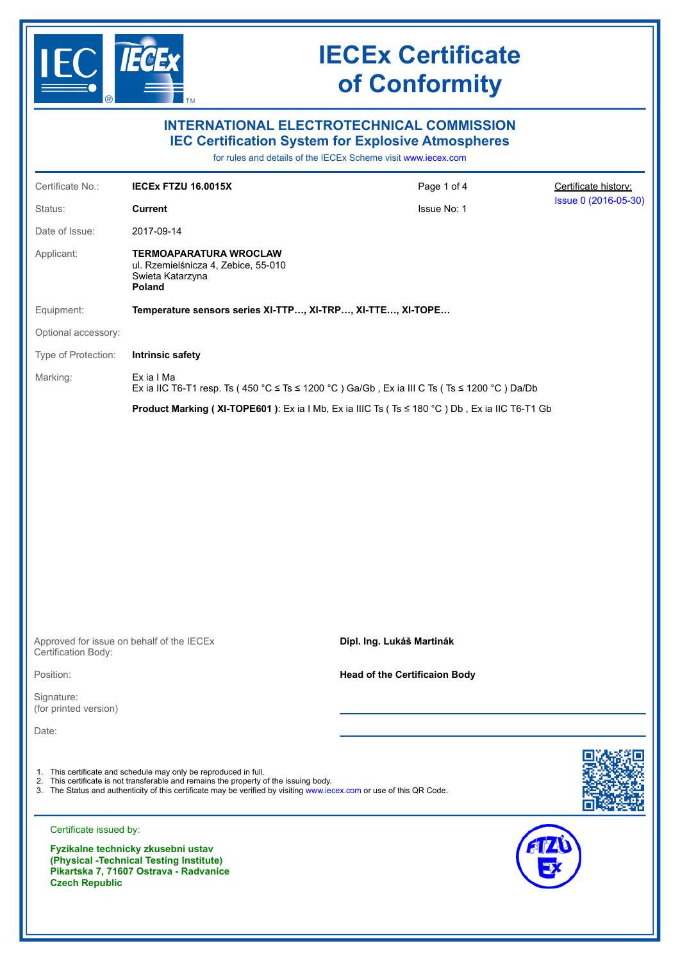

|                                                                  |                                                                                                                                                                                                                                                                                   | <b>INTERNATIONAL ELECTROTECHNICAL COMMISSION</b><br><b>IEC Certification System for Explosive Atmospheres</b><br>for rules and details of the IECEx Scheme visit www.iecex.com |                      |
|------------------------------------------------------------------|-----------------------------------------------------------------------------------------------------------------------------------------------------------------------------------------------------------------------------------------------------------------------------------|--------------------------------------------------------------------------------------------------------------------------------------------------------------------------------|----------------------|
| Certificate No.:                                                 | IECEx FTZU 16.0015X                                                                                                                                                                                                                                                               | Page 1 of 4                                                                                                                                                                    | Certificate history: |
| Status:                                                          | <b>Current</b>                                                                                                                                                                                                                                                                    | Issue No: 1                                                                                                                                                                    | Issue 0 (2016-05-30) |
| Date of Issue:                                                   | 2017-09-14                                                                                                                                                                                                                                                                        |                                                                                                                                                                                |                      |
| Applicant:                                                       | TERMOAPARATURA WROCLAW<br>ul. Rzemielśnicza 4, Zebice, 55-010<br>Swieta Katarzyna<br>Poland                                                                                                                                                                                       |                                                                                                                                                                                |                      |
| Equipment:                                                       | Temperature sensors series XI-TTP, XI-TRP, XI-TTE, XI-TOPE                                                                                                                                                                                                                        |                                                                                                                                                                                |                      |
| Optional accessory:                                              |                                                                                                                                                                                                                                                                                   |                                                                                                                                                                                |                      |
| Type of Protection:                                              | <b>Intrinsic safety</b>                                                                                                                                                                                                                                                           |                                                                                                                                                                                |                      |
| Marking:                                                         | Ex ia I Ma<br>Ex ia IIC T6-T1 resp. Ts (450 °C ≤ Ts ≤ 1200 °C ) Ga/Gb, Ex ia III C Ts (Ts ≤ 1200 °C ) Da/Db                                                                                                                                                                       |                                                                                                                                                                                |                      |
|                                                                  |                                                                                                                                                                                                                                                                                   | Product Marking (XI-TOPE601): Ex ia I Mb, Ex ia IIIC Ts (Ts ≤ 180 °C) Db, Ex ia IIC T6-T1 Gb                                                                                   |                      |
|                                                                  |                                                                                                                                                                                                                                                                                   |                                                                                                                                                                                |                      |
| Approved for issue on behalf of the IECEx<br>Certification Body: |                                                                                                                                                                                                                                                                                   | Dipl. Ing. Lukáš Martinák                                                                                                                                                      |                      |
| Position:                                                        |                                                                                                                                                                                                                                                                                   | <b>Head of the Certificaion Body</b>                                                                                                                                           |                      |
| Signature:<br>(for printed version)                              |                                                                                                                                                                                                                                                                                   |                                                                                                                                                                                |                      |
| Date:                                                            |                                                                                                                                                                                                                                                                                   |                                                                                                                                                                                |                      |
|                                                                  | 1. This certificate and schedule may only be reproduced in full.<br>2. This certificate is not transferable and remains the property of the issuing body.<br>3. The Status and authenticity of this certificate may be verified by visiting www.iecex.com or use of this QR Code. |                                                                                                                                                                                |                      |
| Certificate issued by:                                           |                                                                                                                                                                                                                                                                                   |                                                                                                                                                                                |                      |
| <b>Czech Republic</b>                                            | Fyzikalne technicky zkusebni ustav<br>(Physical -Technical Testing Institute)<br>Pikartska 7, 71607 Ostrava - Radvanice                                                                                                                                                           |                                                                                                                                                                                |                      |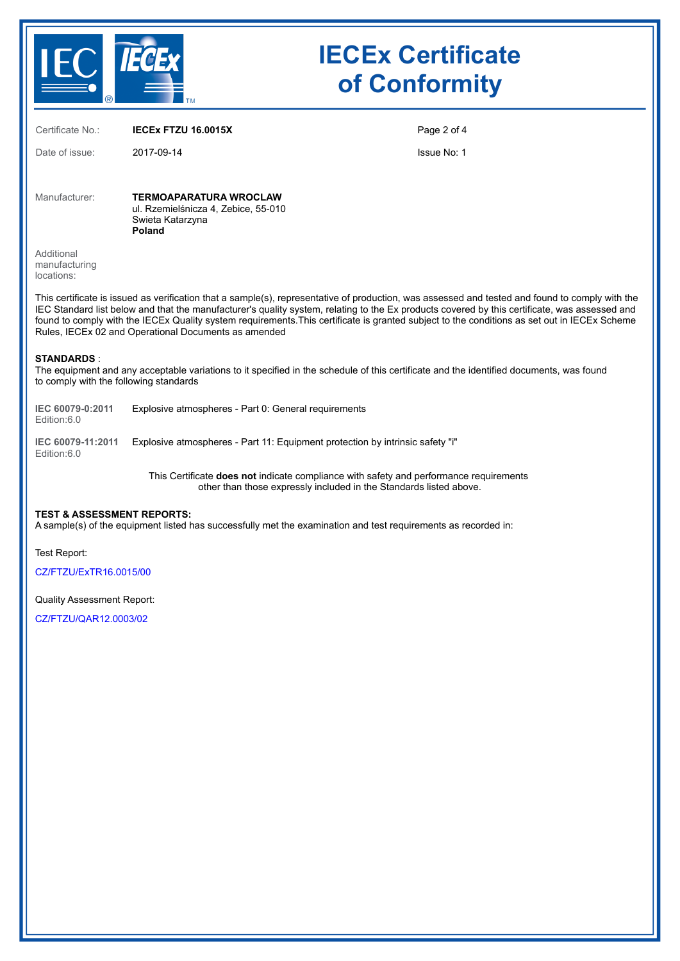

Certificate No.: **IECEx FTZU 16.0015X**

Date of issue: 2017-09-14

Page 2 of 4

Issue No: 1

Manufacturer: **TERMOAPARATURA WROCLAW** ul. Rzemielśnicza 4, Zebice, 55-010 Swieta Katarzyna **Poland**

Additional manufacturing locations:

This certificate is issued as verification that a sample(s), representative of production, was assessed and tested and found to comply with the IEC Standard list below and that the manufacturer's quality system, relating to the Ex products covered by this certificate, was assessed and found to comply with the IECEx Quality system requirements.This certificate is granted subject to the conditions as set out in IECEx Scheme Rules, IECEx 02 and Operational Documents as amended

#### **STANDARDS** :

The equipment and any acceptable variations to it specified in the schedule of this certificate and the identified documents, was found to comply with the following standards

| IEC 60079-0:2011 | Explosive atmospheres - Part 0: General requirements |
|------------------|------------------------------------------------------|
| Edition:6.0      |                                                      |

**IEC 60079-11:2011** Explosive atmospheres - Part 11: Equipment protection by intrinsic safety "i" Edition:6.0

> This Certificate **does not** indicate compliance with safety and performance requirements other than those expressly included in the Standards listed above.

#### **TEST & ASSESSMENT REPORTS:**

A sample(s) of the equipment listed has successfully met the examination and test requirements as recorded in:

Test Report:

[CZ/FTZU/ExTR16.0015/00](https://www.iecex-certs.com/#/deliverables/REPORT/6127/view)

#### Quality Assessment Report:

[CZ/FTZU/QAR12.0003/02](https://www.iecex-certs.com/#/deliverables/REPORT/41376/view)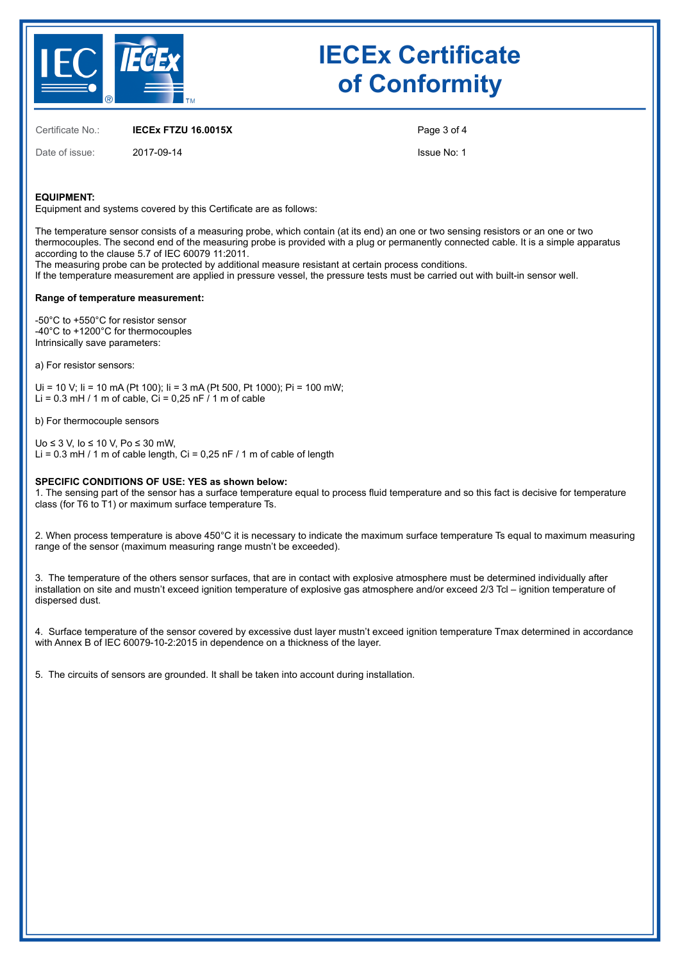

Certificate No.: **IECEx FTZU 16.0015X**

Date of issue: 2017-09-14

Page 3 of 4

Issue No: 1

#### **EQUIPMENT:**

Equipment and systems covered by this Certificate are as follows:

The temperature sensor consists of a measuring probe, which contain (at its end) an one or two sensing resistors or an one or two thermocouples. The second end of the measuring probe is provided with a plug or permanently connected cable. It is a simple apparatus according to the clause 5.7 of IEC 60079 11:2011.

The measuring probe can be protected by additional measure resistant at certain process conditions.

If the temperature measurement are applied in pressure vessel, the pressure tests must be carried out with built-in sensor well.

#### **Range of temperature measurement:**

-50°C to +550°C for resistor sensor -40°C to +1200°C for thermocouples Intrinsically save parameters:

a) For resistor sensors:

Ui = 10 V; Ii = 10 mA (Pt 100); Ii = 3 mA (Pt 500, Pt 1000); Pi = 100 mW; Li = 0.3 mH / 1 m of cable, Ci = 0,25 nF  $\lambda$  1 m of cable

b) For thermocouple sensors

Uo ≤ 3 V, Io ≤ 10 V, Po ≤ 30 mW, Li =  $0.3$  mH / 1 m of cable length, Ci =  $0.25$  nF / 1 m of cable of length

### **SPECIFIC CONDITIONS OF USE: YES as shown below:**

1. The sensing part of the sensor has a surface temperature equal to process fluid temperature and so this fact is decisive for temperature class (for T6 to T1) or maximum surface temperature Ts.

2. When process temperature is above 450°C it is necessary to indicate the maximum surface temperature Ts equal to maximum measuring range of the sensor (maximum measuring range mustn't be exceeded).

3. The temperature of the others sensor surfaces, that are in contact with explosive atmosphere must be determined individually after installation on site and mustn't exceed ignition temperature of explosive gas atmosphere and/or exceed 2/3 Tcl – ignition temperature of dispersed dust.

4. Surface temperature of the sensor covered by excessive dust layer mustn't exceed ignition temperature Tmax determined in accordance with Annex B of IEC 60079-10-2:2015 in dependence on a thickness of the layer.

5. The circuits of sensors are grounded. It shall be taken into account during installation.